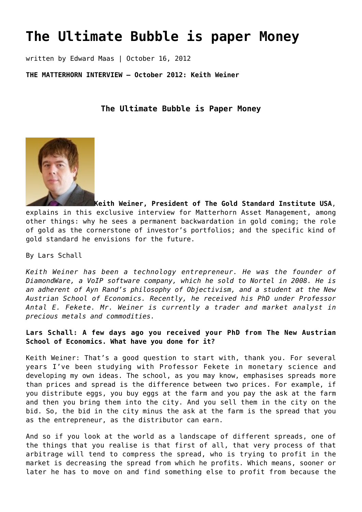# **[The Ultimate Bubble is paper Money](https://goldswitzerland.com/the-ultimate-bubble-is-paper-money/)**

written by Edward Maas | October 16, 2012

**THE MATTERHORN INTERVIEW – October 2012: Keith Weiner**

**The Ultimate Bubble is Paper Money**



**Keith Weiner, President of The Gold Standard Institute USA**, explains in this exclusive interview for Matterhorn Asset Management, among other things: why he sees a permanent backwardation in gold coming; the role of gold as the cornerstone of investor's portfolios; and the specific kind of gold standard he envisions for the future.

By Lars Schall

*Keith Weiner has been a technology entrepreneur. He was the founder of DiamondWare, a VoIP software company, which he sold to Nortel in 2008. He is an adherent of Ayn Rand's philosophy of Objectivism, and a student at the New Austrian School of Economics. Recently, he received his PhD under Professor Antal E. Fekete. Mr. Weiner is currently a trader and market analyst in precious metals and commodities.*

**Lars Schall: A few days ago you received your PhD from The New Austrian School of Economics. What have you done for it?**

Keith Weiner: That's a good question to start with, thank you. For several years I've been studying with Professor Fekete in monetary science and developing my own ideas. The school, as you may know, emphasises spreads more than prices and spread is the difference between two prices. For example, if you distribute eggs, you buy eggs at the farm and you pay the ask at the farm and then you bring them into the city. And you sell them in the city on the bid. So, the bid in the city minus the ask at the farm is the spread that you as the entrepreneur, as the distributor can earn.

And so if you look at the world as a landscape of different spreads, one of the things that you realise is that first of all, that very process of that arbitrage will tend to compress the spread, who is trying to profit in the market is decreasing the spread from which he profits. Which means, sooner or later he has to move on and find something else to profit from because the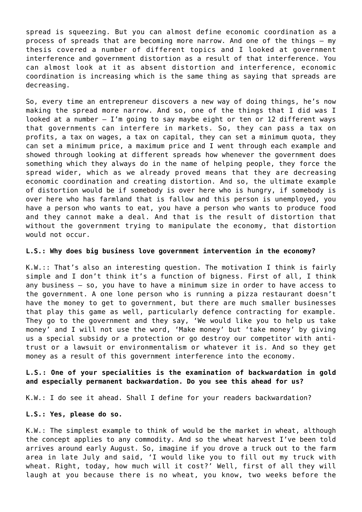spread is squeezing. But you can almost define economic coordination as a process of spreads that are becoming more narrow. And one of the things – my thesis covered a number of different topics and I looked at government interference and government distortion as a result of that interference. You can almost look at it as absent distortion and interference, economic coordination is increasing which is the same thing as saying that spreads are decreasing.

So, every time an entrepreneur discovers a new way of doing things, he's now making the spread more narrow. And so, one of the things that I did was I looked at a number  $-$  I'm going to say maybe eight or ten or 12 different ways that governments can interfere in markets. So, they can pass a tax on profits, a tax on wages, a tax on capital, they can set a minimum quota, they can set a minimum price, a maximum price and I went through each example and showed through looking at different spreads how whenever the government does something which they always do in the name of helping people, they force the spread wider, which as we already proved means that they are decreasing economic coordination and creating distortion. And so, the ultimate example of distortion would be if somebody is over here who is hungry, if somebody is over here who has farmland that is fallow and this person is unemployed, you have a person who wants to eat, you have a person who wants to produce food and they cannot make a deal. And that is the result of distortion that without the government trying to manipulate the economy, that distortion would not occur.

### **L.S.: Why does big business love government intervention in the economy?**

K.W.:: That's also an interesting question. The motivation I think is fairly simple and I don't think it's a function of bigness. First of all, I think any business – so, you have to have a minimum size in order to have access to the government. A one lone person who is running a pizza restaurant doesn't have the money to get to government, but there are much smaller businesses that play this game as well, particularly defence contracting for example. They go to the government and they say, 'We would like you to help us take money' and I will not use the word, 'Make money' but 'take money' by giving us a special subsidy or a protection or go destroy our competitor with antitrust or a lawsuit or environmentalism or whatever it is. And so they get money as a result of this government interference into the economy.

## **L.S.: One of your specialities is the examination of backwardation in gold and especially permanent backwardation. Do you see this ahead for us?**

K.W.: I do see it ahead. Shall I define for your readers backwardation?

#### **L.S.: Yes, please do so.**

K.W.: The simplest example to think of would be the market in wheat, although the concept applies to any commodity. And so the wheat harvest I've been told arrives around early August. So, imagine if you drove a truck out to the farm area in late July and said, 'I would like you to fill out my truck with wheat. Right, today, how much will it cost?' Well, first of all they will laugh at you because there is no wheat, you know, two weeks before the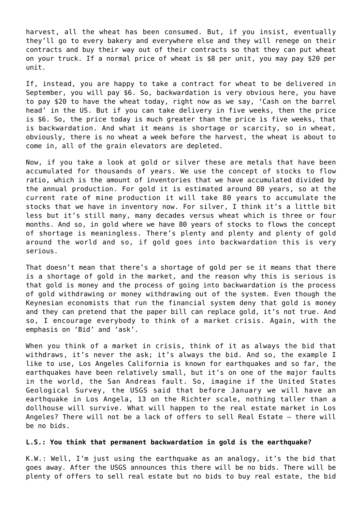harvest, all the wheat has been consumed. But, if you insist, eventually they'll go to every bakery and everywhere else and they will renege on their contracts and buy their way out of their contracts so that they can put wheat on your truck. If a normal price of wheat is \$8 per unit, you may pay \$20 per unit.

If, instead, you are happy to take a contract for wheat to be delivered in September, you will pay \$6. So, backwardation is very obvious here, you have to pay \$20 to have the wheat today, right now as we say, 'Cash on the barrel head' in the US. But if you can take delivery in five weeks, then the price is \$6. So, the price today is much greater than the price is five weeks, that is backwardation. And what it means is shortage or scarcity, so in wheat, obviously, there is no wheat a week before the harvest, the wheat is about to come in, all of the grain elevators are depleted.

Now, if you take a look at gold or silver these are metals that have been accumulated for thousands of years. We use the concept of stocks to flow ratio, which is the amount of inventories that we have accumulated divided by the annual production. For gold it is estimated around 80 years, so at the current rate of mine production it will take 80 years to accumulate the stocks that we have in inventory now. For silver, I think it's a little bit less but it's still many, many decades versus wheat which is three or four months. And so, in gold where we have 80 years of stocks to flows the concept of shortage is meaningless. There's plenty and plenty and plenty of gold around the world and so, if gold goes into backwardation this is very serious.

That doesn't mean that there's a shortage of gold per se it means that there is a shortage of gold in the market, and the reason why this is serious is that gold is money and the process of going into backwardation is the process of gold withdrawing or money withdrawing out of the system. Even though the Keynesian economists that run the financial system deny that gold is money and they can pretend that the paper bill can replace gold, it's not true. And so, I encourage everybody to think of a market crisis. Again, with the emphasis on 'Bid' and 'ask'.

When you think of a market in crisis, think of it as always the bid that withdraws, it's never the ask; it's always the bid. And so, the example I like to use, Los Angeles California is known for earthquakes and so far, the earthquakes have been relatively small, but it's on one of the major faults in the world, the San Andreas fault. So, imagine if the United States Geological Survey, the USGS said that before January we will have an earthquake in Los Angela, 13 on the Richter scale, nothing taller than a dollhouse will survive. What will happen to the real estate market in Los Angeles? There will not be a lack of offers to sell Real Estate – there will be no bids.

## **L.S.: You think that permanent backwardation in gold is the earthquake?**

K.W.: Well, I'm just using the earthquake as an analogy, it's the bid that goes away. After the USGS announces this there will be no bids. There will be plenty of offers to sell real estate but no bids to buy real estate, the bid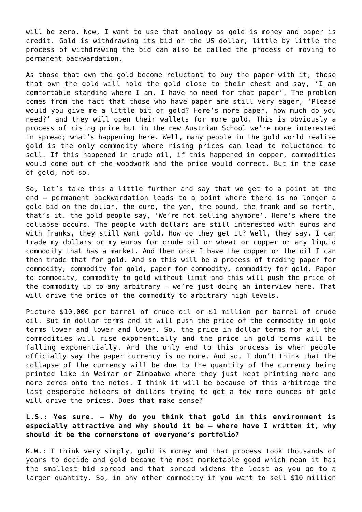will be zero. Now, I want to use that analogy as gold is money and paper is credit. Gold is withdrawing its bid on the US dollar, little by little the process of withdrawing the bid can also be called the process of moving to permanent backwardation.

As those that own the gold become reluctant to buy the paper with it, those that own the gold will hold the gold close to their chest and say, 'I am comfortable standing where I am, I have no need for that paper'. The problem comes from the fact that those who have paper are still very eager, 'Please would you give me a little bit of gold? Here's more paper, how much do you need?' and they will open their wallets for more gold. This is obviously a process of rising price but in the new Austrian School we're more interested in spread; what's happening here. Well, many people in the gold world realise gold is the only commodity where rising prices can lead to reluctance to sell. If this happened in crude oil, if this happened in copper, commodities would come out of the woodwork and the price would correct. But in the case of gold, not so.

So, let's take this a little further and say that we get to a point at the end – permanent backwardation leads to a point where there is no longer a gold bid on the dollar, the euro, the yen, the pound, the frank and so forth, that's it. the gold people say, 'We're not selling anymore'. Here's where the collapse occurs. The people with dollars are still interested with euros and with franks, they still want gold. How do they get it? Well, they say, I can trade my dollars or my euros for crude oil or wheat or copper or any liquid commodity that has a market. And then once I have the copper or the oil I can then trade that for gold. And so this will be a process of trading paper for commodity, commodity for gold, paper for commodity, commodity for gold. Paper to commodity, commodity to gold without limit and this will push the price of the commodity up to any arbitrary – we're just doing an interview here. That will drive the price of the commodity to arbitrary high levels.

Picture \$10,000 per barrel of crude oil or \$1 million per barrel of crude oil. But in dollar terms and it will push the price of the commodity in gold terms lower and lower and lower. So, the price in dollar terms for all the commodities will rise exponentially and the price in gold terms will be falling exponentially. And the only end to this process is when people officially say the paper currency is no more. And so, I don't think that the collapse of the currency will be due to the quantity of the currency being printed like in Weimar or Zimbabwe where they just kept printing more and more zeros onto the notes. I think it will be because of this arbitrage the last desperate holders of dollars trying to get a few more ounces of gold will drive the prices. Does that make sense?

# **L.S.: Yes sure. – Why do you think that gold in this environment is especially attractive and why should it be – where have I written it, why should it be the cornerstone of everyone's portfolio?**

K.W.: I think very simply, gold is money and that process took thousands of years to decide and gold became the most marketable good which mean it has the smallest bid spread and that spread widens the least as you go to a larger quantity. So, in any other commodity if you want to sell \$10 million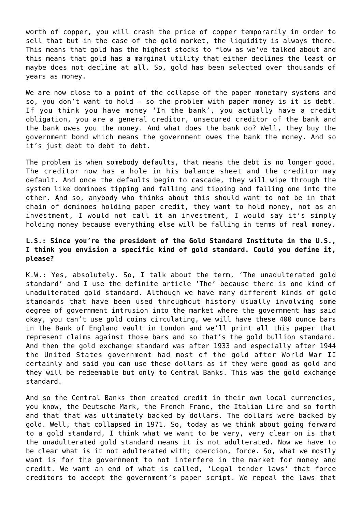worth of copper, you will crash the price of copper temporarily in order to sell that but in the case of the gold market, the liquidity is always there. This means that gold has the highest stocks to flow as we've talked about and this means that gold has a marginal utility that either declines the least or maybe does not decline at all. So, gold has been selected over thousands of years as money.

We are now close to a point of the collapse of the paper monetary systems and so, you don't want to hold – so the problem with paper money is it is debt. If you think you have money 'In the bank', you actually have a credit obligation, you are a general creditor, unsecured creditor of the bank and the bank owes you the money. And what does the bank do? Well, they buy the government bond which means the government owes the bank the money. And so it's just debt to debt to debt.

The problem is when somebody defaults, that means the debt is no longer good. The creditor now has a hole in his balance sheet and the creditor may default. And once the defaults begin to cascade, they will wipe through the system like dominoes tipping and falling and tipping and falling one into the other. And so, anybody who thinks about this should want to not be in that chain of dominoes holding paper credit, they want to hold money, not as an investment, I would not call it an investment, I would say it's simply holding money because everything else will be falling in terms of real money.

# **L.S.: Since you're the president of the Gold Standard Institute in the U.S., I think you envision a specific kind of gold standard. Could you define it, please?**

K.W.: Yes, absolutely. So, I talk about the term, 'The unadulterated gold standard' and I use the definite article 'The' because there is one kind of unadulterated gold standard. Although we have many different kinds of gold standards that have been used throughout history usually involving some degree of government intrusion into the market where the government has said okay, you can't use gold coins circulating, we will have these 400 ounce bars in the Bank of England vault in London and we'll print all this paper that represent claims against those bars and so that's the gold bullion standard. And then the gold exchange standard was after 1933 and especially after 1944 the United States government had most of the gold after World War II certainly and said you can use these dollars as if they were good as gold and they will be redeemable but only to Central Banks. This was the gold exchange standard.

And so the Central Banks then created credit in their own local currencies, you know, the Deutsche Mark, the French Franc, the Italian Lire and so forth and that that was ultimately backed by dollars. The dollars were backed by gold. Well, that collapsed in 1971. So, today as we think about going forward to a gold standard, I think what we want to be very, very clear on is that the unadulterated gold standard means it is not adulterated. Now we have to be clear what is it not adulterated with; coercion, force. So, what we mostly want is for the government to not interfere in the market for money and credit. We want an end of what is called, 'Legal tender laws' that force creditors to accept the government's paper script. We repeal the laws that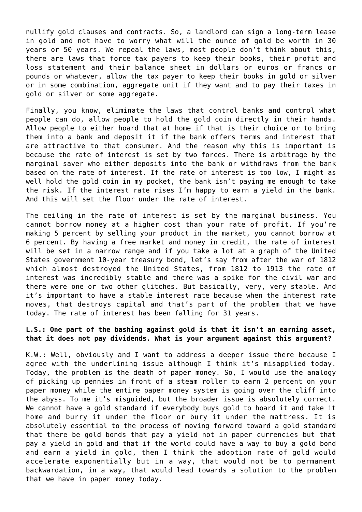nullify gold clauses and contracts. So, a landlord can sign a long-term lease in gold and not have to worry what will the ounce of gold be worth in 30 years or 50 years. We repeal the laws, most people don't think about this, there are laws that force tax payers to keep their books, their profit and loss statement and their balance sheet in dollars or euros or francs or pounds or whatever, allow the tax payer to keep their books in gold or silver or in some combination, aggregate unit if they want and to pay their taxes in gold or silver or some aggregate.

Finally, you know, eliminate the laws that control banks and control what people can do, allow people to hold the gold coin directly in their hands. Allow people to either hoard that at home if that is their choice or to bring them into a bank and deposit it if the bank offers terms and interest that are attractive to that consumer. And the reason why this is important is because the rate of interest is set by two forces. There is arbitrage by the marginal saver who either deposits into the bank or withdraws from the bank based on the rate of interest. If the rate of interest is too low, I might as well hold the gold coin in my pocket, the bank isn't paying me enough to take the risk. If the interest rate rises I'm happy to earn a yield in the bank. And this will set the floor under the rate of interest.

The ceiling in the rate of interest is set by the marginal business. You cannot borrow money at a higher cost than your rate of profit. If you're making 5 percent by selling your product in the market, you cannot borrow at 6 percent. By having a free market and money in credit, the rate of interest will be set in a narrow range and if you take a lot at a graph of the United States government 10-year treasury bond, let's say from after the war of 1812 which almost destroyed the United States, from 1812 to 1913 the rate of interest was incredibly stable and there was a spike for the civil war and there were one or two other glitches. But basically, very, very stable. And it's important to have a stable interest rate because when the interest rate moves, that destroys capital and that's part of the problem that we have today. The rate of interest has been falling for 31 years.

# **L.S.: One part of the bashing against gold is that it isn't an earning asset, that it does not pay dividends. What is your argument against this argument?**

K.W.: Well, obviously and I want to address a deeper issue there because I agree with the underlining issue although I think it's misapplied today. Today, the problem is the death of paper money. So, I would use the analogy of picking up pennies in front of a steam roller to earn 2 percent on your paper money while the entire paper money system is going over the cliff into the abyss. To me it's misguided, but the broader issue is absolutely correct. We cannot have a gold standard if everybody buys gold to hoard it and take it home and burry it under the floor or bury it under the mattress. It is absolutely essential to the process of moving forward toward a gold standard that there be gold bonds that pay a yield not in paper currencies but that pay a yield in gold and that if the world could have a way to buy a gold bond and earn a yield in gold, then I think the adoption rate of gold would accelerate exponentially but in a way, that would not be to permanent backwardation, in a way, that would lead towards a solution to the problem that we have in paper money today.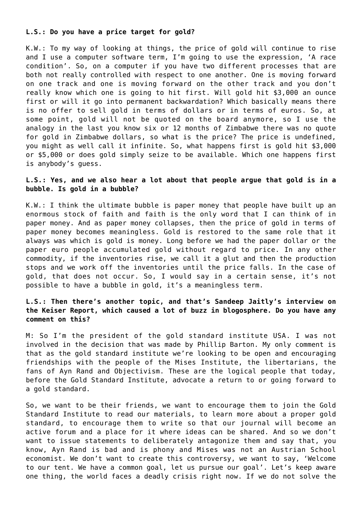#### **L.S.: Do you have a price target for gold?**

K.W.: To my way of looking at things, the price of gold will continue to rise and I use a computer software term, I'm going to use the expression, 'A race condition'. So, on a computer if you have two different processes that are both not really controlled with respect to one another. One is moving forward on one track and one is moving forward on the other track and you don't really know which one is going to hit first. Will gold hit \$3,000 an ounce first or will it go into permanent backwardation? Which basically means there is no offer to sell gold in terms of dollars or in terms of euros. So, at some point, gold will not be quoted on the board anymore, so I use the analogy in the last you know six or 12 months of Zimbabwe there was no quote for gold in Zimbabwe dollars, so what is the price? The price is undefined, you might as well call it infinite. So, what happens first is gold hit \$3,000 or \$5,000 or does gold simply seize to be available. Which one happens first is anybody's guess.

## **L.S.: Yes, and we also hear a lot about that people argue that gold is in a bubble. Is gold in a bubble?**

K.W.: I think the ultimate bubble is paper money that people have built up an enormous stock of faith and faith is the only word that I can think of in paper money. And as paper money collapses, then the price of gold in terms of paper money becomes meaningless. Gold is restored to the same role that it always was which is gold is money. Long before we had the paper dollar or the paper euro people accumulated gold without regard to price. In any other commodity, if the inventories rise, we call it a glut and then the production stops and we work off the inventories until the price falls. In the case of gold, that does not occur. So, I would say in a certain sense, it's not possible to have a bubble in gold, it's a meaningless term.

# **L.S.: Then there's another topic, and that's Sandeep Jaitly's interview on the Keiser Report, which caused a lot of buzz in blogosphere. Do you have any comment on this?**

M: So I'm the president of the gold standard institute USA. I was not involved in the decision that was made by Phillip Barton. My only comment is that as the gold standard institute we're looking to be open and encouraging friendships with the people of the Mises Institute, the libertarians, the fans of Ayn Rand and Objectivism. These are the logical people that today, before the Gold Standard Institute, advocate a return to or going forward to a gold standard.

So, we want to be their friends, we want to encourage them to join the Gold Standard Institute to read our materials, to learn more about a proper gold standard, to encourage them to write so that our journal will become an active forum and a place for it where ideas can be shared. And so we don't want to issue statements to deliberately antagonize them and say that, you know, Ayn Rand is bad and is phony and Mises was not an Austrian School economist. We don't want to create this controversy, we want to say, 'Welcome to our tent. We have a common goal, let us pursue our goal'. Let's keep aware one thing, the world faces a deadly crisis right now. If we do not solve the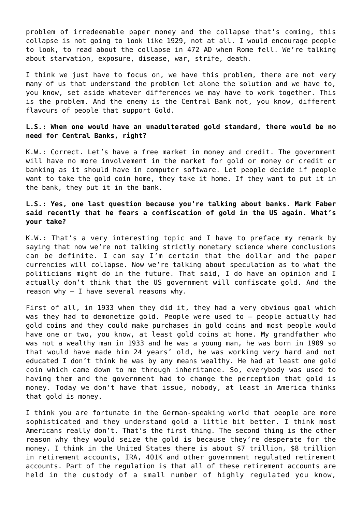problem of irredeemable paper money and the collapse that's coming, this collapse is not going to look like 1929, not at all. I would encourage people to look, to read about the collapse in 472 AD when Rome fell. We're talking about starvation, exposure, disease, war, strife, death.

I think we just have to focus on, we have this problem, there are not very many of us that understand the problem let alone the solution and we have to, you know, set aside whatever differences we may have to work together. This is the problem. And the enemy is the Central Bank not, you know, different flavours of people that support Gold.

## **L.S.: When one would have an unadulterated gold standard, there would be no need for Central Banks, right?**

K.W.: Correct. Let's have a free market in money and credit. The government will have no more involvement in the market for gold or money or credit or banking as it should have in computer software. Let people decide if people want to take the gold coin home, they take it home. If they want to put it in the bank, they put it in the bank.

# **L.S.: Yes, one last question because you're talking about banks. Mark Faber said recently that he fears a confiscation of gold in the US again. What's your take?**

K.W.: That's a very interesting topic and I have to preface my remark by saying that now we're not talking strictly monetary science where conclusions can be definite. I can say I'm certain that the dollar and the paper currencies will collapse. Now we're talking about speculation as to what the politicians might do in the future. That said, I do have an opinion and I actually don't think that the US government will confiscate gold. And the reason why  $-$  I have several reasons why.

First of all, in 1933 when they did it, they had a very obvious goal which was they had to demonetize gold. People were used to – people actually had gold coins and they could make purchases in gold coins and most people would have one or two, you know, at least gold coins at home. My grandfather who was not a wealthy man in 1933 and he was a young man, he was born in 1909 so that would have made him 24 years' old, he was working very hard and not educated I don't think he was by any means wealthy. He had at least one gold coin which came down to me through inheritance. So, everybody was used to having them and the government had to change the perception that gold is money. Today we don't have that issue, nobody, at least in America thinks that gold is money.

I think you are fortunate in the German-speaking world that people are more sophisticated and they understand gold a little bit better. I think most Americans really don't. That's the first thing. The second thing is the other reason why they would seize the gold is because they're desperate for the money. I think in the United States there is about \$7 trillion, \$8 trillion in retirement accounts, IRA, 401K and other government regulated retirement accounts. Part of the regulation is that all of these retirement accounts are held in the custody of a small number of highly regulated you know,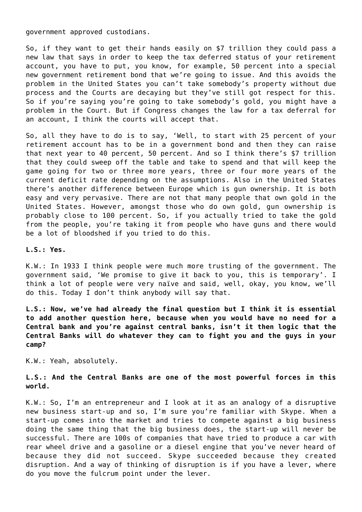government approved custodians.

So, if they want to get their hands easily on \$7 trillion they could pass a new law that says in order to keep the tax deferred status of your retirement account, you have to put, you know, for example, 50 percent into a special new government retirement bond that we're going to issue. And this avoids the problem in the United States you can't take somebody's property without due process and the Courts are decaying but they've still got respect for this. So if you're saying you're going to take somebody's gold, you might have a problem in the Court. But if Congress changes the law for a tax deferral for an account, I think the courts will accept that.

So, all they have to do is to say, 'Well, to start with 25 percent of your retirement account has to be in a government bond and then they can raise that next year to 40 percent, 50 percent. And so I think there's \$7 trillion that they could sweep off the table and take to spend and that will keep the game going for two or three more years, three or four more years of the current deficit rate depending on the assumptions. Also in the United States there's another difference between Europe which is gun ownership. It is both easy and very pervasive. There are not that many people that own gold in the United States. However, amongst those who do own gold, gun ownership is probably close to 100 percent. So, if you actually tried to take the gold from the people, you're taking it from people who have guns and there would be a lot of bloodshed if you tried to do this.

**L.S.: Yes.**

K.W.: In 1933 I think people were much more trusting of the government. The government said, 'We promise to give it back to you, this is temporary'. I think a lot of people were very naïve and said, well, okay, you know, we'll do this. Today I don't think anybody will say that.

**L.S.: Now, we've had already the final question but I think it is essential to add another question here, because when you would have no need for a Central bank and you're against central banks, isn't it then logic that the Central Banks will do whatever they can to fight you and the guys in your camp?**

K.W.: Yeah, absolutely.

# **L.S.: And the Central Banks are one of the most powerful forces in this world.**

K.W.: So, I'm an entrepreneur and I look at it as an analogy of a disruptive new business start-up and so, I'm sure you're familiar with Skype. When a start-up comes into the market and tries to compete against a big business doing the same thing that the big business does, the start-up will never be successful. There are 100s of companies that have tried to produce a car with rear wheel drive and a gasoline or a diesel engine that you've never heard of because they did not succeed. Skype succeeded because they created disruption. And a way of thinking of disruption is if you have a lever, where do you move the fulcrum point under the lever.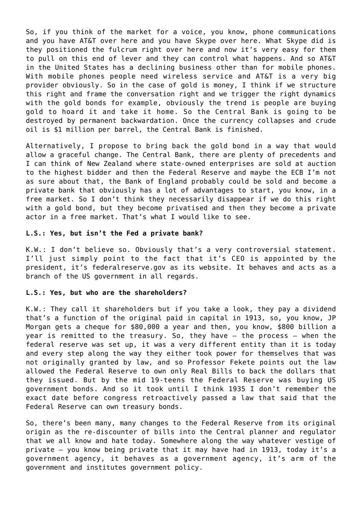So, if you think of the market for a voice, you know, phone communications and you have AT&T over here and you have Skype over here. What Skype did is they positioned the fulcrum right over here and now it's very easy for them to pull on this end of lever and they can control what happens. And so AT&T in the United States has a declining business other than for mobile phones. With mobile phones people need wireless service and AT&T is a very big provider obviously. So in the case of gold is money, I think if we structure this right and frame the conversation right and we trigger the right dynamics with the gold bonds for example, obviously the trend is people are buying gold to hoard it and take it home. So the Central Bank is going to be destroyed by permanent backwardation. Once the currency collapses and crude oil is \$1 million per barrel, the Central Bank is finished.

Alternatively, I propose to bring back the gold bond in a way that would allow a graceful change. The Central Bank, there are plenty of precedents and I can think of New Zealand where state-owned enterprises are sold at auction to the highest bidder and then the Federal Reserve and maybe the ECB I'm not as sure about that, the Bank of England probably could be sold and become a private bank that obviously has a lot of advantages to start, you know, in a free market. So I don't think they necessarily disappear if we do this right with a gold bond, but they become privatised and then they become a private actor in a free market. That's what I would like to see.

#### **L.S.: Yes, but isn't the Fed a private bank?**

K.W.: I don't believe so. Obviously that's a very controversial statement. I'll just simply point to the fact that it's CEO is appointed by the president, it's federalreserve.gov as its website. It behaves and acts as a branch of the US government in all regards.

#### **L.S.: Yes, but who are the shareholders?**

K.W.: They call it shareholders but if you take a look, they pay a dividend that's a function of the original paid in capital in 1913, so, you know, JP Morgan gets a cheque for \$80,000 a year and then, you know, \$800 billion a year is remitted to the treasury. So, they have – the process – when the federal reserve was set up, it was a very different entity than it is today and every step along the way they either took power for themselves that was not originally granted by law, and so Professor Fekete points out the law allowed the Federal Reserve to own only Real Bills to back the dollars that they issued. But by the mid 19-teens the Federal Reserve was buying US government bonds. And so it took until I think 1935 I don't remember the exact date before congress retroactively passed a law that said that the Federal Reserve can own treasury bonds.

So, there's been many, many changes to the Federal Reserve from its original origin as the re-discounter of bills into the Central planner and regulator that we all know and hate today. Somewhere along the way whatever vestige of private – you know being private that it may have had in 1913, today it's a government agency, it behaves as a government agency, it's arm of the government and institutes government policy.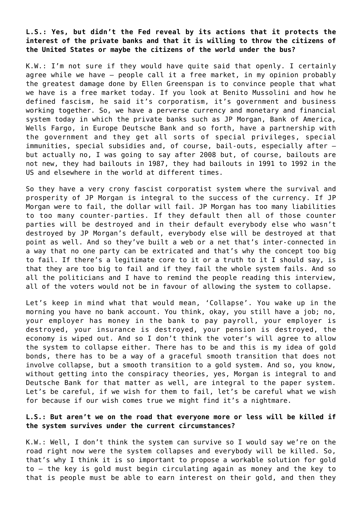**L.S.: Yes, but didn't the Fed reveal by its actions that it protects the interest of the private banks and that it is willing to throw the citizens of the United States or maybe the citizens of the world under the bus?**

K.W.: I'm not sure if they would have quite said that openly. I certainly agree while we have – people call it a free market, in my opinion probably the greatest damage done by Ellen Greenspan is to convince people that what we have is a free market today. If you look at Benito Mussolini and how he defined fascism, he said it's corporatism, it's government and business working together. So, we have a perverse currency and monetary and financial system today in which the private banks such as JP Morgan, Bank of America, Wells Fargo, in Europe Deutsche Bank and so forth, have a partnership with the government and they get all sorts of special privileges, special immunities, special subsidies and, of course, bail-outs, especially after – but actually no, I was going to say after 2008 but, of course, bailouts are not new, they had bailouts in 1987, they had bailouts in 1991 to 1992 in the US and elsewhere in the world at different times.

So they have a very crony fascist corporatist system where the survival and prosperity of JP Morgan is integral to the success of the currency. If JP Morgan were to fail, the dollar will fail. JP Morgan has too many liabilities to too many counter-parties. If they default then all of those counter parties will be destroyed and in their default everybody else who wasn't destroyed by JP Morgan's default, everybody else will be destroyed at that point as well. And so they've built a web or a net that's inter-connected in a way that no one party can be extricated and that's why the concept too big to fail. If there's a legitimate core to it or a truth to it I should say, is that they are too big to fail and if they fail the whole system fails. And so all the politicians and I have to remind the people reading this interview, all of the voters would not be in favour of allowing the system to collapse.

Let's keep in mind what that would mean, 'Collapse'. You wake up in the morning you have no bank account. You think, okay, you still have a job; no, your employer has money in the bank to pay payroll, your employer is destroyed, your insurance is destroyed, your pension is destroyed, the economy is wiped out. And so I don't think the voter's will agree to allow the system to collapse either. There has to be and this is my idea of gold bonds, there has to be a way of a graceful smooth transition that does not involve collapse, but a smooth transition to a gold system. And so, you know, without getting into the conspiracy theories, yes, Morgan is integral to and Deutsche Bank for that matter as well, are integral to the paper system. Let's be careful, if we wish for them to fail, let's be careful what we wish for because if our wish comes true we might find it's a nightmare.

## **L.S.: But aren't we on the road that everyone more or less will be killed if the system survives under the current circumstances?**

K.W.: Well, I don't think the system can survive so I would say we're on the road right now were the system collapses and everybody will be killed. So, that's why I think it is so important to propose a workable solution for gold to – the key is gold must begin circulating again as money and the key to that is people must be able to earn interest on their gold, and then they